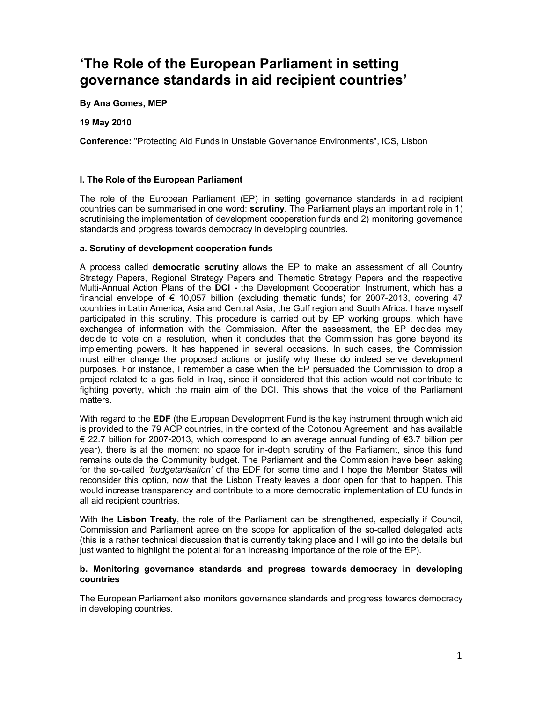# **'The Role of the European Parliament in setting governance standards in aid recipient countries'**

**By Ana Gomes, MEP**

**19 May 2010**

**Conference:** "Protecting Aid Funds in Unstable Governance Environments", ICS, Lisbon

## **I. The Role of the European Parliament**

The role of the European Parliament (EP) in setting governance standards in aid recipient countries can be summarised in one word: **scrutiny**. The Parliament plays an important role in 1) scrutinising the implementation of development cooperation funds and 2) monitoring governance standards and progress towards democracy in developing countries.

### **a. Scrutiny of development cooperation funds**

A process called **democratic scrutiny** allows the EP to make an assessment of all Country Strategy Papers, Regional Strategy Papers and Thematic Strategy Papers and the respective Multi-Annual Action Plans of the **DCI -** the Development Cooperation Instrument, which has a financial envelope of  $\epsilon$  10,057 billion (excluding thematic funds) for 2007-2013, covering 47 countries in [Latin America,](http://ec.europa.eu/europeaid/where/latin-america/index_en.htm) [Asia and Central Asia,](http://ec.europa.eu/europeaid/where/asia/index_en.htm) the [Gulf region](http://ec.europa.eu/europeaid/where/gulf-region/index_en.htm) and [South Africa.](http://ec.europa.eu/europeaid/where/acp/country-cooperation/south-africa/south-africa_en.htm) I have myself participated in this scrutiny. This procedure is carried out by EP working groups, which have exchanges of information with the Commission. After the assessment, the EP decides may decide to vote on a resolution, when it concludes that the Commission has gone beyond its implementing powers. It has happened in several occasions. In such cases, the Commission must either change the proposed actions or justify why these do indeed serve development purposes. For instance, I remember a case when the EP persuaded the Commission to drop a project related to a gas field in Iraq, since it considered that this action would not contribute to fighting poverty, which the main aim of the DCI. This shows that the voice of the Parliament matters.

With regard to the **EDF** (the European Development Fund is the key instrument through which aid is provided to the 79 ACP countries, in the context of the Cotonou Agreement, and has available € 22.7 billion for 2007-2013, which correspond to an average annual funding of €3.7 billion per year), there is at the moment no space for in-depth scrutiny of the Parliament, since this fund remains outside the Community budget. The Parliament and the Commission have been asking for the so-called *'budgetarisation'* of the EDF for some time and I hope the Member States will reconsider this option, now that the Lisbon Treaty leaves a door open for that to happen. This would increase transparency and contribute to a more democratic implementation of EU funds in all aid recipient countries.

With the **Lisbon Treaty**, the role of the Parliament can be strengthened, especially if Council, Commission and Parliament agree on the scope for application of the so-called delegated acts (this is a rather technical discussion that is currently taking place and I will go into the details but just wanted to highlight the potential for an increasing importance of the role of the EP).

### **b. Monitoring governance standards and progress towards democracy in developing countries**

The European Parliament also monitors governance standards and progress towards democracy in developing countries.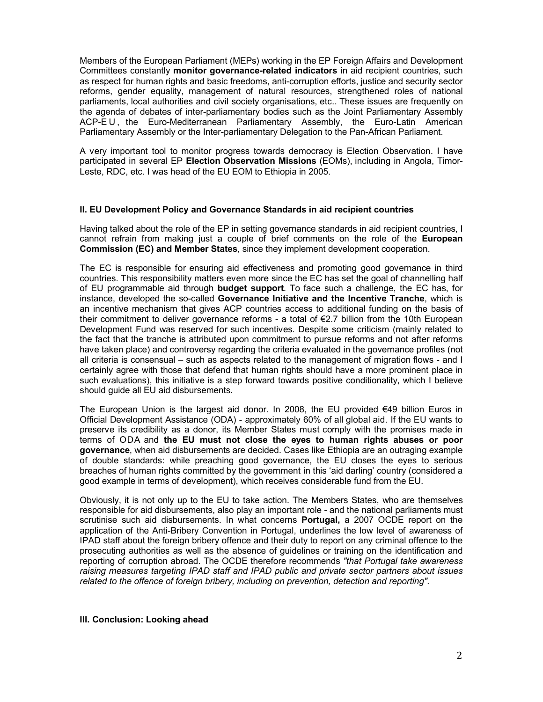Members of the European Parliament (MEPs) working in the EP Foreign Affairs and Development Committees constantly **monitor governance-related indicators** in aid recipient countries, such as respect for human rights and basic freedoms, anti-corruption efforts, justice and security sector reforms, gender equality, management of natural resources, strengthened roles of national parliaments, local authorities and civil society organisations, etc.. These issues are frequently on the agenda of debates of inter-parliamentary bodies such as the Joint Parliamentary Assembly ACP-EU, the Euro-Mediterranean Parliamentary Assembly, the Euro-Latin American Parliamentary Assembly or the Inter-parliamentary Delegation to the Pan-African Parliament.

A very important tool to monitor progress towards democracy is Election Observation. I have participated in several EP **Election Observation Missions** (EOMs), including in Angola, Timor-Leste, RDC, etc. I was head of the EU EOM to Ethiopia in 2005.

### **II. EU Development Policy and Governance Standards in aid recipient countries**

Having talked about the role of the EP in setting governance standards in aid recipient countries, I cannot refrain from making just a couple of brief comments on the role of the **European Commission (EC) and Member States**, since they implement development cooperation.

The EC is responsible for ensuring aid effectiveness and promoting good governance in third countries. This responsibility matters even more since the EC has set the goal of channelling half of EU programmable aid through **budget support**. To face such a challenge, the EC has, for instance, developed the so-called **Governance Initiative and the Incentive Tranche**, which is an incentive mechanism that gives ACP countries access to additional funding on the basis of their commitment to deliver governance reforms - a total of €2.7 billion from the 10th European Development Fund was reserved for such incentives. Despite some criticism (mainly related to the fact that the tranche is attributed upon commitment to pursue reforms and not after reforms have taken place) and controversy regarding the criteria evaluated in the governance profiles (not all criteria is consensual – such as aspects related to the management of migration flows - and I certainly agree with those that defend that human rights should have a more prominent place in such evaluations), this initiative is a step forward towards positive conditionality, which I believe should guide all EU aid disbursements.

The European Union is the largest aid donor. In 2008, the EU provided €49 billion Euros in Official Development Assistance (ODA) - approximately 60% of all global aid. If the EU wants to preserve its credibility as a donor, its Member States must comply with the promises made in terms of ODA and **the EU must not close the eyes to human rights abuses or poor governance**, when aid disbursements are decided. Cases like Ethiopia are an outraging example of double standards: while preaching good governance, the EU closes the eyes to serious breaches of human rights committed by the government in this 'aid darling' country (considered a good example in terms of development), which receives considerable fund from the EU.

Obviously, it is not only up to the EU to take action. The Members States, who are themselves responsible for aid disbursements, also play an important role - and the national parliaments must scrutinise such aid disbursements. In what concerns **Portugal,** a 2007 OCDE report on the application of the Anti-Bribery Convention in Portugal, underlines the low level of awareness of IPAD staff about the foreign bribery offence and their duty to report on any criminal offence to the prosecuting authorities as well as the absence of guidelines or training on the identification and reporting of corruption abroad. The OCDE therefore recommends *"that Portugal take awareness raising measures targeting IPAD staff and IPAD public and private sector partners about issues related to the offence of foreign bribery, including on prevention, detection and reporting".* 

### **III. Conclusion: Looking ahead**